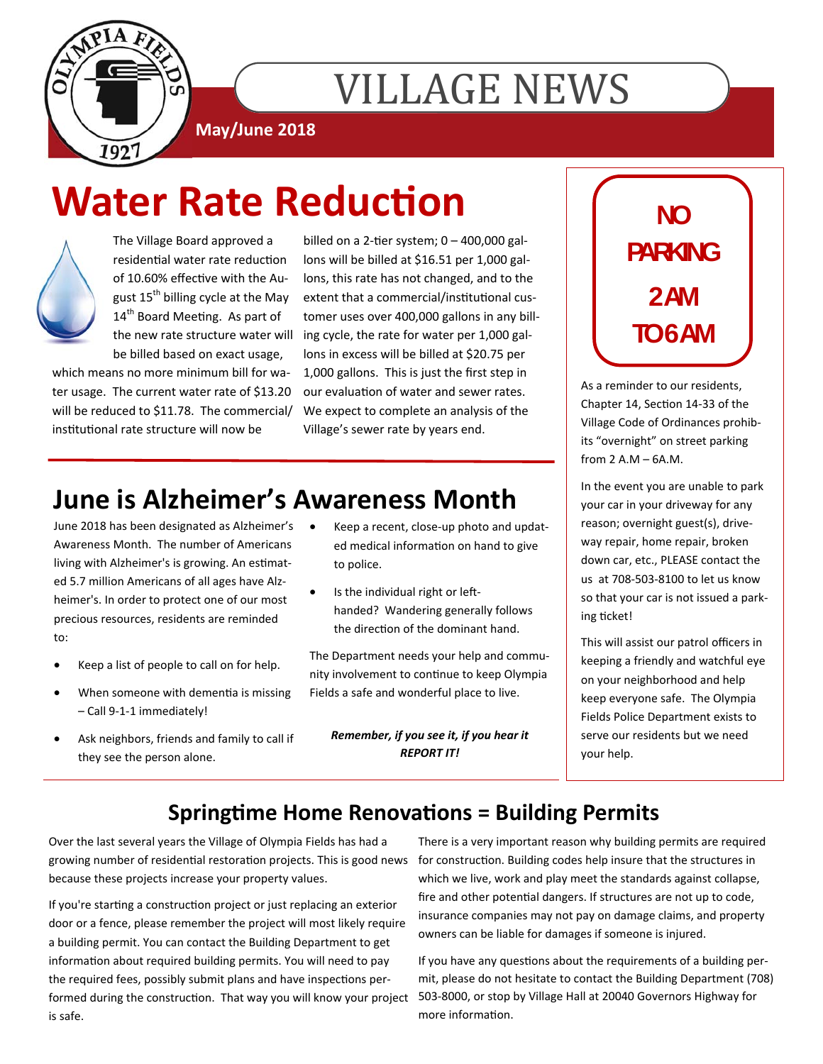

# **VILLAGE NEWS**

**May/June 2018** 

# **Water Rate Reduction**



The Village Board approved a residential water rate reduction of 10.60% effective with the August 15<sup>th</sup> billing cycle at the May 14<sup>th</sup> Board Meeting. As part of the new rate structure water will be billed based on exact usage,

which means no more minimum bill for water usage. The current water rate of \$13.20 will be reduced to \$11.78. The commercial/ institutional rate structure will now be

billed on a 2-tier system;  $0 - 400,000$  gallons will be billed at \$16.51 per 1,000 gallons, this rate has not changed, and to the extent that a commercial/institutional customer uses over 400,000 gallons in any billing cycle, the rate for water per 1,000 gallons in excess will be billed at \$20.75 per 1,000 gallons. This is just the first step in our evaluation of water and sewer rates. We expect to complete an analysis of the Village's sewer rate by years end.

### **June is Alzheimer's Awareness Month**

June 2018 has been designated as Alzheimer's Awareness Month. The number of Americans living with Alzheimer's is growing. An estimated 5.7 million Americans of all ages have Alzheimer's. In order to protect one of our most precious resources, residents are reminded to:

- Keep a list of people to call on for help.
- When someone with dementia is missing – Call 9-1-1 immediately!
- Ask neighbors, friends and family to call if they see the person alone.
- Keep a recent, close-up photo and updated medical information on hand to give to police.
- Is the individual right or lefthanded? Wandering generally follows the direction of the dominant hand.

The Department needs your help and community involvement to continue to keep Olympia Fields a safe and wonderful place to live.

*Remember, if you see it, if you hear it REPORT IT!*

## **NO PARKING 2 AM TO 6 AM**

As a reminder to our residents, Chapter 14, Section 14-33 of the Village Code of Ordinances prohibits "overnight" on street parking from 2 A.M – 6A.M.

In the event you are unable to park your car in your driveway for any reason; overnight guest(s), driveway repair, home repair, broken down car, etc., PLEASE contact the us at 708-503-8100 to let us know so that your car is not issued a parking ticket!

This will assist our patrol officers in keeping a friendly and watchful eye on your neighborhood and help keep everyone safe. The Olympia Fields Police Department exists to serve our residents but we need your help.

#### **Springtime Home Renovations = Building Permits**

Over the last several years the Village of Olympia Fields has had a growing number of residential restoration projects. This is good news for construction. Building codes help insure that the structures in because these projects increase your property values.

If you're starting a construction project or just replacing an exterior door or a fence, please remember the project will most likely require a building permit. You can contact the Building Department to get information about required building permits. You will need to pay the required fees, possibly submit plans and have inspections performed during the construction. That way you will know your project 503-8000, or stop by Village Hall at 20040 Governors Highway for is safe.

There is a very important reason why building permits are required which we live, work and play meet the standards against collapse, fire and other potential dangers. If structures are not up to code, insurance companies may not pay on damage claims, and property owners can be liable for damages if someone is injured.

If you have any questions about the requirements of a building permit, please do not hesitate to contact the Building Department (708) more information.